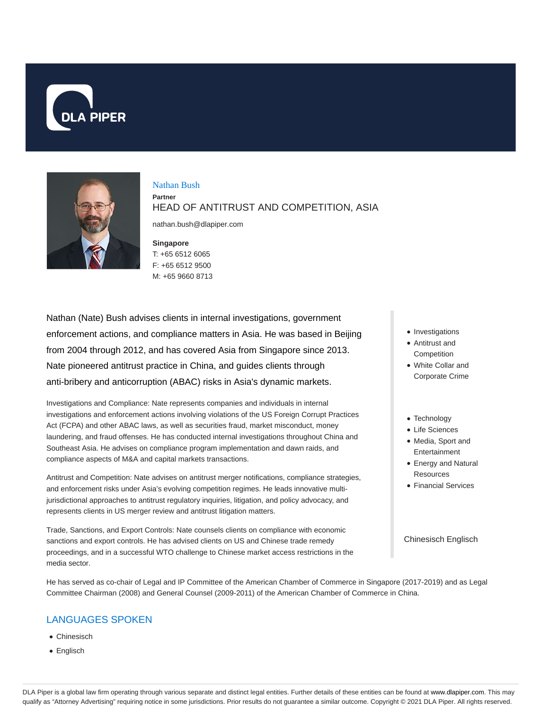



# Nathan Bush

**Partner** HEAD OF ANTITRUST AND COMPETITION, ASIA

nathan.bush@dlapiper.com

### **Singapore**

T: +65 6512 6065 F: +65 6512 9500 M: +65 9660 8713

Nathan (Nate) Bush advises clients in internal investigations, government enforcement actions, and compliance matters in Asia. He was based in Beijing from 2004 through 2012, and has covered Asia from Singapore since 2013. Nate pioneered antitrust practice in China, and guides clients through anti-bribery and anticorruption (ABAC) risks in Asia's dynamic markets.

Investigations and Compliance: Nate represents companies and individuals in internal investigations and enforcement actions involving violations of the US Foreign Corrupt Practices Act (FCPA) and other ABAC laws, as well as securities fraud, market misconduct, money laundering, and fraud offenses. He has conducted internal investigations throughout China and Southeast Asia. He advises on compliance program implementation and dawn raids, and compliance aspects of M&A and capital markets transactions.

Antitrust and Competition: Nate advises on antitrust merger notifications, compliance strategies, and enforcement risks under Asia's evolving competition regimes. He leads innovative multijurisdictional approaches to antitrust regulatory inquiries, litigation, and policy advocacy, and represents clients in US merger review and antitrust litigation matters.

Trade, Sanctions, and Export Controls: Nate counsels clients on compliance with economic sanctions and export controls. He has advised clients on US and Chinese trade remedy proceedings, and in a successful WTO challenge to Chinese market access restrictions in the media sector.

He has served as co-chair of Legal and IP Committee of the American Chamber of Commerce in Singapore (2017-2019) and as Legal Committee Chairman (2008) and General Counsel (2009-2011) of the American Chamber of Commerce in China.

# LANGUAGES SPOKEN

- Chinesisch
- Englisch
- Investigations
- Antitrust and Competition
- White Collar and Corporate Crime
- Technology
- Life Sciences • Media, Sport and
- Entertainment
- Energy and Natural Resources
- Financial Services

#### Chinesisch Englisch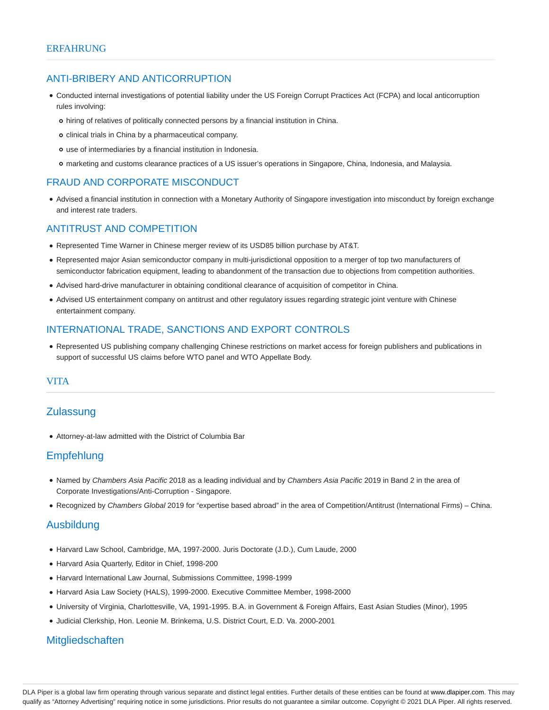## ANTI-BRIBERY AND ANTICORRUPTION

- Conducted internal investigations of potential liability under the US Foreign Corrupt Practices Act (FCPA) and local anticorruption rules involving:
	- hiring of relatives of politically connected persons by a financial institution in China.
	- o clinical trials in China by a pharmaceutical company.
	- use of intermediaries by a financial institution in Indonesia.
	- marketing and customs clearance practices of a US issuer's operations in Singapore, China, Indonesia, and Malaysia.

## FRAUD AND CORPORATE MISCONDUCT

Advised a financial institution in connection with a Monetary Authority of Singapore investigation into misconduct by foreign exchange and interest rate traders.

## ANTITRUST AND COMPETITION

- Represented Time Warner in Chinese merger review of its USD85 billion purchase by AT&T.
- Represented major Asian semiconductor company in multi-jurisdictional opposition to a merger of top two manufacturers of semiconductor fabrication equipment, leading to abandonment of the transaction due to objections from competition authorities.
- Advised hard-drive manufacturer in obtaining conditional clearance of acquisition of competitor in China.
- Advised US entertainment company on antitrust and other regulatory issues regarding strategic joint venture with Chinese entertainment company.

## INTERNATIONAL TRADE, SANCTIONS AND EXPORT CONTROLS

Represented US publishing company challenging Chinese restrictions on market access for foreign publishers and publications in support of successful US claims before WTO panel and WTO Appellate Body.

### VITA

# **Zulassung**

Attorney-at-law admitted with the District of Columbia Bar

# Empfehlung

- Named by Chambers Asia Pacific 2018 as a leading individual and by Chambers Asia Pacific 2019 in Band 2 in the area of Corporate Investigations/Anti-Corruption - Singapore.
- Recognized by Chambers Global 2019 for "expertise based abroad" in the area of Competition/Antitrust (International Firms) China.

# Ausbildung

- Harvard Law School, Cambridge, MA, 1997-2000. Juris Doctorate (J.D.), Cum Laude, 2000
- Harvard Asia Quarterly, Editor in Chief, 1998-200
- Harvard International Law Journal, Submissions Committee, 1998-1999
- Harvard Asia Law Society (HALS), 1999-2000. Executive Committee Member, 1998-2000
- University of Virginia, Charlottesville, VA, 1991-1995. B.A. in Government & Foreign Affairs, East Asian Studies (Minor), 1995
- Judicial Clerkship, Hon. Leonie M. Brinkema, U.S. District Court, E.D. Va. 2000-2001

# **Mitgliedschaften**

DLA Piper is a global law firm operating through various separate and distinct legal entities. Further details of these entities can be found at www.dlapiper.com. This may qualify as "Attorney Advertising" requiring notice in some jurisdictions. Prior results do not guarantee a similar outcome. Copyright © 2021 DLA Piper. All rights reserved.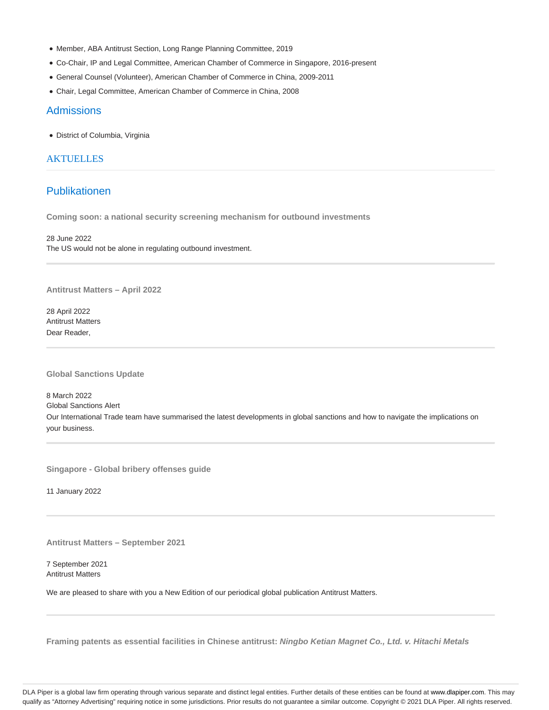- Member, ABA Antitrust Section, Long Range Planning Committee, 2019
- Co-Chair, IP and Legal Committee, American Chamber of Commerce in Singapore, 2016-present
- General Counsel (Volunteer), American Chamber of Commerce in China, 2009-2011
- Chair, Legal Committee, American Chamber of Commerce in China, 2008

### **Admissions**

District of Columbia, Virginia

### **AKTUELLES**

# Publikationen

**Coming soon: a national security screening mechanism for outbound investments**

28 June 2022 The US would not be alone in regulating outbound investment.

**Antitrust Matters – April 2022**

28 April 2022 Antitrust Matters Dear Reader,

**Global Sanctions Update**

8 March 2022 Global Sanctions Alert Our International Trade team have summarised the latest developments in global sanctions and how to navigate the implications on your business.

**Singapore - Global bribery offenses guide**

11 January 2022

**Antitrust Matters – September 2021**

7 September 2021 Antitrust Matters

We are pleased to share with you a New Edition of our periodical global publication Antitrust Matters.

**Framing patents as essential facilities in Chinese antitrust: Ningbo Ketian Magnet Co., Ltd. v. Hitachi Metals**

DLA Piper is a global law firm operating through various separate and distinct legal entities. Further details of these entities can be found at www.dlapiper.com. This may qualify as "Attorney Advertising" requiring notice in some jurisdictions. Prior results do not guarantee a similar outcome. Copyright @ 2021 DLA Piper. All rights reserved.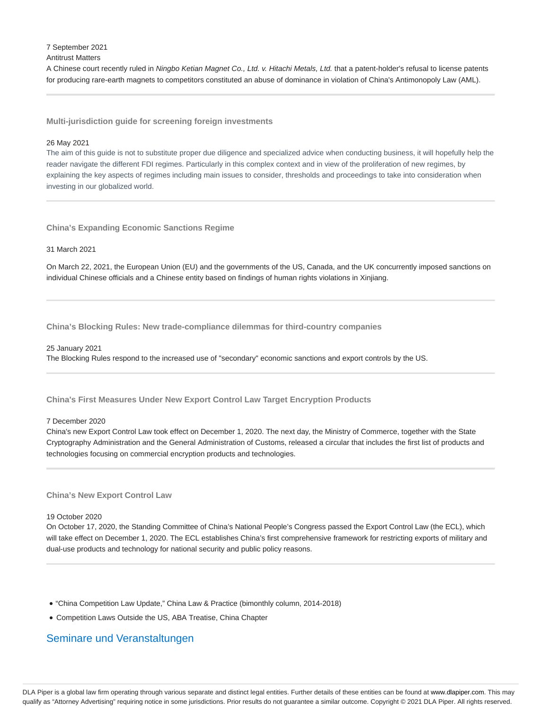7 September 2021

### Antitrust Matters

A Chinese court recently ruled in Ningbo Ketian Magnet Co., Ltd. v. Hitachi Metals, Ltd. that a patent-holder's refusal to license patents for producing rare-earth magnets to competitors constituted an abuse of dominance in violation of China's Antimonopoly Law (AML).

**Multi-jurisdiction guide for screening foreign investments**

### 26 May 2021

The aim of this guide is not to substitute proper due diligence and specialized advice when conducting business, it will hopefully help the reader navigate the different FDI regimes. Particularly in this complex context and in view of the proliferation of new regimes, by explaining the key aspects of regimes including main issues to consider, thresholds and proceedings to take into consideration when investing in our globalized world.

**China's Expanding Economic Sanctions Regime**

### 31 March 2021

On March 22, 2021, the European Union (EU) and the governments of the US, Canada, and the UK concurrently imposed sanctions on individual Chinese officials and a Chinese entity based on findings of human rights violations in Xinjiang.

**China's Blocking Rules: New trade-compliance dilemmas for third-country companies**

#### 25 January 2021

The Blocking Rules respond to the increased use of "secondary" economic sanctions and export controls by the US.

### **China's First Measures Under New Export Control Law Target Encryption Products**

#### 7 December 2020

China's new Export Control Law took effect on December 1, 2020. The next day, the Ministry of Commerce, together with the State Cryptography Administration and the General Administration of Customs, released a circular that includes the first list of products and technologies focusing on commercial encryption products and technologies.

### **China's New Export Control Law**

#### 19 October 2020

On October 17, 2020, the Standing Committee of China's National People's Congress passed the Export Control Law (the ECL), which will take effect on December 1, 2020. The ECL establishes China's first comprehensive framework for restricting exports of military and dual-use products and technology for national security and public policy reasons.

- "China Competition Law Update," China Law & Practice (bimonthly column, 2014-2018)
- Competition Laws Outside the US, ABA Treatise, China Chapter

# Seminare und Veranstaltungen

DLA Piper is a global law firm operating through various separate and distinct legal entities. Further details of these entities can be found at www.dlapiper.com. This may qualify as "Attorney Advertising" requiring notice in some jurisdictions. Prior results do not guarantee a similar outcome. Copyright @ 2021 DLA Piper. All rights reserved.